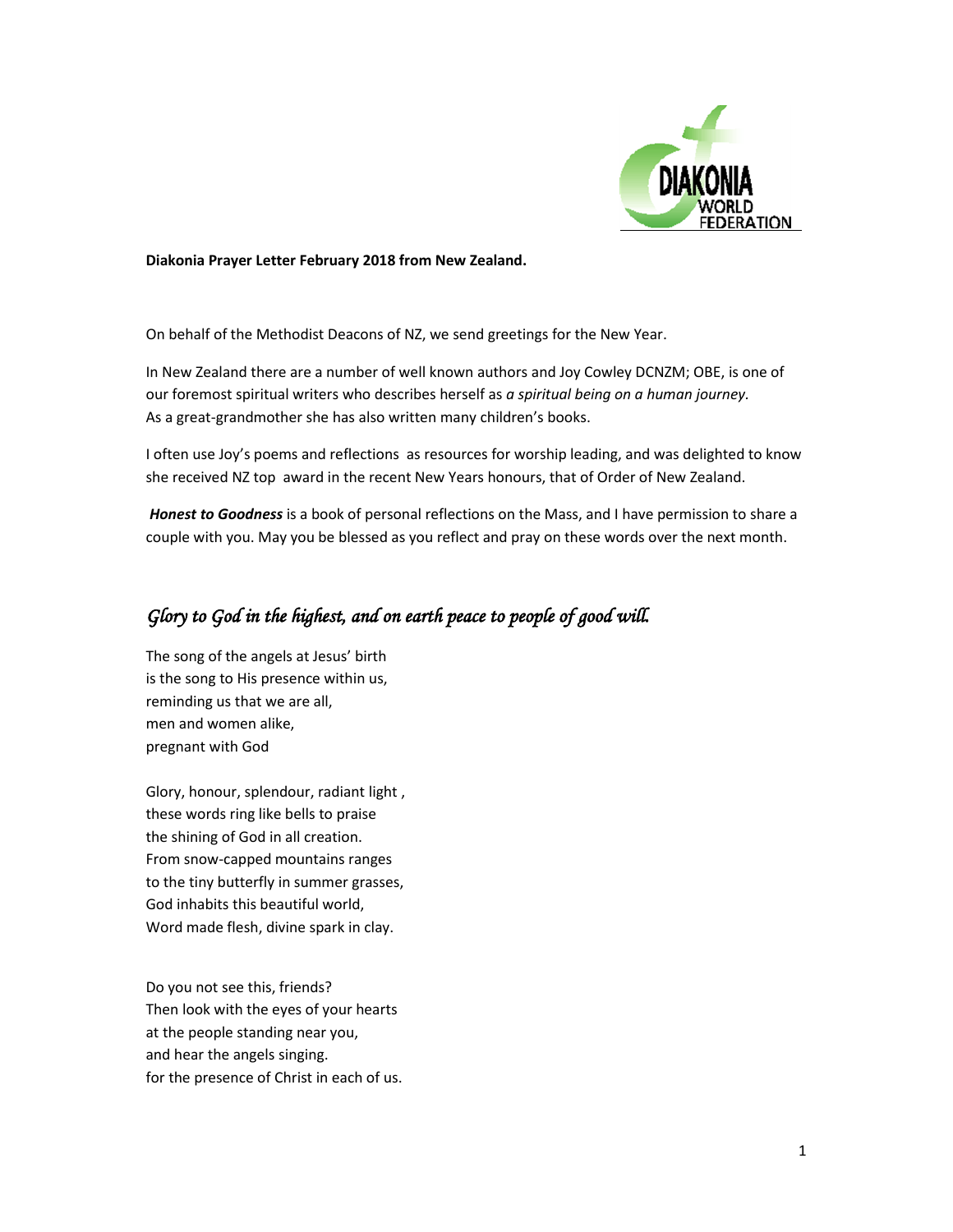

#### **Diakonia Prayer Letter February 2018 from New Zealand.**

On behalf of the Methodist Deacons of NZ, we send greetings for the New Year.

In New Zealand there are a number of well known authors and Joy Cowley DCNZM; OBE, is one of our foremost spiritual writers who describes herself as *a spiritual being on a human journey.* As a great-grandmother she has also written many children's books.

I often use Joy's poems and reflections as resources for worship leading, and was delighted to know she received NZ top award in the recent New Years honours, that of Order of New Zealand.

*Honest to Goodness* is a book of personal reflections on the Mass, and I have permission to share a couple with you. May you be blessed as you reflect and pray on these words over the next month.

# Glory to God in the highest, and on earth peace to people of good will.

The song of the angels at Jesus' birth is the song to His presence within us, reminding us that we are all, men and women alike, pregnant with God

Glory, honour, splendour, radiant light , these words ring like bells to praise the shining of God in all creation. From snow-capped mountains ranges to the tiny butterfly in summer grasses, God inhabits this beautiful world, Word made flesh, divine spark in clay.

Do you not see this, friends? Then look with the eyes of your hearts at the people standing near you, and hear the angels singing. for the presence of Christ in each of us.